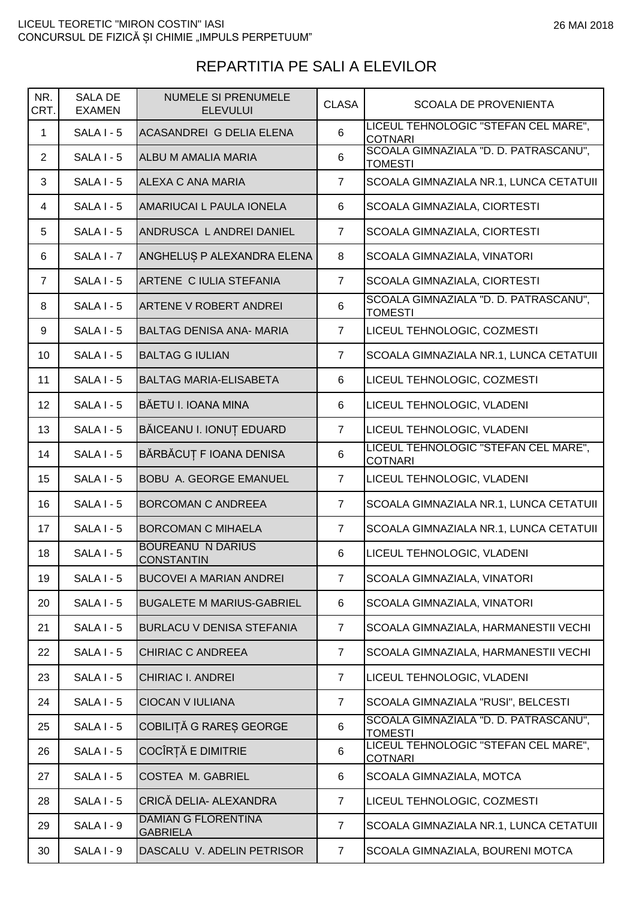## REPARTITIA PE SALI A ELEVILOR

| NR.<br>CRT.    | <b>SALA DE</b><br><b>EXAMEN</b> | <b>NUMELE SI PRENUMELE</b><br><b>ELEVULUI</b> | <b>CLASA</b>    | <b>SCOALA DE PROVENIENTA</b>                            |
|----------------|---------------------------------|-----------------------------------------------|-----------------|---------------------------------------------------------|
| 1              | $SALA I - 5$                    | ACASANDREI G DELIA ELENA                      | $6\phantom{1}6$ | LICEUL TEHNOLOGIC "STEFAN CEL MARE",<br><b>COTNARI</b>  |
| $\overline{2}$ | $SALA I - 5$                    | ALBU M AMALIA MARIA                           | 6               | SCOALA GIMNAZIALA "D. D. PATRASCANU",<br><b>TOMESTI</b> |
| 3              | $SALA I - 5$                    | ALEXA C ANA MARIA                             | $\overline{7}$  | SCOALA GIMNAZIALA NR.1, LUNCA CETATUII                  |
| 4              | $SALA I - 5$                    | AMARIUCAI L PAULA IONELA                      | 6               | SCOALA GIMNAZIALA, CIORTESTI                            |
| 5              | <b>SALA I - 5</b>               | ANDRUSCA L ANDREI DANIEL                      | $\overline{7}$  | SCOALA GIMNAZIALA, CIORTESTI                            |
| 6              | SALA I - 7                      | ANGHELUS P ALEXANDRA ELENA                    | 8               | SCOALA GIMNAZIALA, VINATORI                             |
| $\overline{7}$ | $SALAI - 5$                     | ARTENE C IULIA STEFANIA                       | $\overline{7}$  | SCOALA GIMNAZIALA, CIORTESTI                            |
| 8              | $SALA I - 5$                    | <b>ARTENE V ROBERT ANDREI</b>                 | $6\phantom{1}6$ | SCOALA GIMNAZIALA "D. D. PATRASCANU",<br><b>TOMESTI</b> |
| 9              | $SALA I - 5$                    | <b>BALTAG DENISA ANA- MARIA</b>               | $\overline{7}$  | LICEUL TEHNOLOGIC, COZMESTI                             |
| 10             | $SALAI - 5$                     | <b>BALTAG G IULIAN</b>                        | $\overline{7}$  | SCOALA GIMNAZIALA NR.1, LUNCA CETATUII                  |
| 11             | $SALA I - 5$                    | <b>BALTAG MARIA-ELISABETA</b>                 | 6               | LICEUL TEHNOLOGIC, COZMESTI                             |
| 12             | $SALA I - 5$                    | BĂETU I. IOANA MINA                           | 6               | LICEUL TEHNOLOGIC, VLADENI                              |
| 13             | $SALA I - 5$                    | BĂICEANU I. IONUȚ EDUARD                      | $\overline{7}$  | LICEUL TEHNOLOGIC, VLADENI                              |
| 14             | SALA I - 5                      | BĂRBĂCUȚ F IOANA DENISA                       | $6\phantom{1}6$ | LICEUL TEHNOLOGIC "STEFAN CEL MARE",<br><b>COTNARI</b>  |
| 15             | $SALA I - 5$                    | <b>BOBU A. GEORGE EMANUEL</b>                 | $\overline{7}$  | LICEUL TEHNOLOGIC, VLADENI                              |
| 16             | SALA I - 5                      | <b>BORCOMAN C ANDREEA</b>                     | $\overline{7}$  | SCOALA GIMNAZIALA NR.1, LUNCA CETATUII                  |
| 17             | $SALAI - 5$                     | <b>BORCOMAN C MIHAELA</b>                     | $\overline{7}$  | SCOALA GIMNAZIALA NR.1, LUNCA CETATUII                  |
| 18             | <b>SALA I - 5</b>               | <b>BOUREANU N DARIUS</b><br><b>CONSTANTIN</b> | 6               | LICEUL TEHNOLOGIC, VLADENI                              |
| 19             | SALA I - 5                      | <b>BUCOVEI A MARIAN ANDREI</b>                | $\overline{7}$  | SCOALA GIMNAZIALA, VINATORI                             |
| 20             | SALA I - 5                      | <b>BUGALETE M MARIUS-GABRIEL</b>              | 6               | SCOALA GIMNAZIALA, VINATORI                             |
| 21             | $SALAI - 5$                     | <b>BURLACU V DENISA STEFANIA</b>              | $\overline{7}$  | SCOALA GIMNAZIALA, HARMANESTII VECHI                    |
| 22             | SALA I - 5                      | CHIRIAC C ANDREEA                             | $\overline{7}$  | SCOALA GIMNAZIALA, HARMANESTII VECHI                    |
| 23             | SALA I - 5                      | <b>CHIRIAC I. ANDREI</b>                      | $\overline{7}$  | LICEUL TEHNOLOGIC, VLADENI                              |
| 24             | SALA I - 5                      | <b>CIOCAN V IULIANA</b>                       | $\overline{7}$  | SCOALA GIMNAZIALA "RUSI", BELCESTI                      |
| 25             | SALA I - 5                      | COBILIȚĂ G RARES GEORGE                       | 6               | SCOALA GIMNAZIALA "D. D. PATRASCANU",<br><b>TOMESTI</b> |
| 26             | <b>SALA I - 5</b>               | COCÎRȚĂ E DIMITRIE                            | 6               | LICEUL TEHNOLOGIC "STEFAN CEL MARE",<br><b>COTNARI</b>  |
| 27             | SALA I - 5                      | COSTEA M. GABRIEL                             | 6               | SCOALA GIMNAZIALA, MOTCA                                |
| 28             | SALA I - 5                      | CRICĂ DELIA- ALEXANDRA                        | $\overline{7}$  | LICEUL TEHNOLOGIC, COZMESTI                             |
| 29             | SALA I - 9                      | <b>DAMIAN G FLORENTINA</b><br><b>GABRIELA</b> | $\overline{7}$  | SCOALA GIMNAZIALA NR.1, LUNCA CETATUII                  |
| 30             | SALA I - 9                      | DASCALU V. ADELIN PETRISOR                    | $\overline{7}$  | SCOALA GIMNAZIALA, BOURENI MOTCA                        |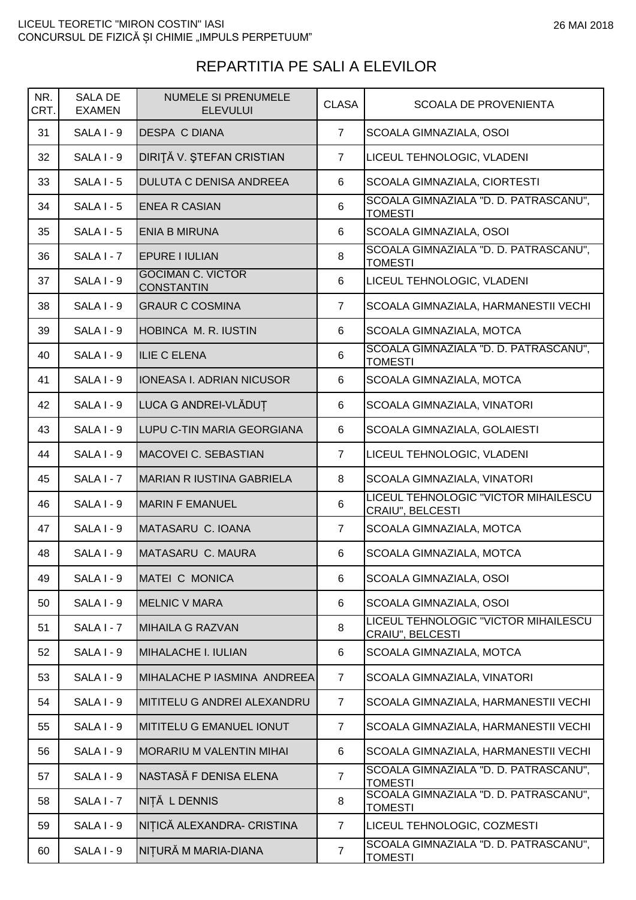| NR.<br>CRT. | <b>SALA DE</b><br><b>EXAMEN</b> | <b>NUMELE SI PRENUMELE</b><br><b>ELEVULUI</b> | <b>CLASA</b>   | <b>SCOALA DE PROVENIENTA</b>                             |
|-------------|---------------------------------|-----------------------------------------------|----------------|----------------------------------------------------------|
| 31          | SALA I - 9                      | <b>DESPA C DIANA</b>                          | $\overline{7}$ | SCOALA GIMNAZIALA, OSOI                                  |
| 32          | SALA I - 9                      | DIRITĂ V. ȘTEFAN CRISTIAN                     | $\overline{7}$ | LICEUL TEHNOLOGIC, VLADENI                               |
| 33          | $SALAI - 5$                     | <b>DULUTA C DENISA ANDREEA</b>                | 6              | SCOALA GIMNAZIALA, CIORTESTI                             |
| 34          | $SALAI - 5$                     | <b>ENEA R CASIAN</b>                          | 6              | SCOALA GIMNAZIALA "D. D. PATRASCANU",<br><b>TOMESTI</b>  |
| 35          | <b>SALA I - 5</b>               | <b>ENIA B MIRUNA</b>                          | 6              | SCOALA GIMNAZIALA, OSOI                                  |
| 36          | SALA I - 7                      | <b>EPURE I IULIAN</b>                         | 8              | SCOALA GIMNAZIALA "D. D. PATRASCANU",<br><b>TOMESTI</b>  |
| 37          | SALA I - 9                      | <b>GOCIMAN C. VICTOR</b><br><b>CONSTANTIN</b> | 6              | LICEUL TEHNOLOGIC, VLADENI                               |
| 38          | SALA I - 9                      | <b>GRAUR C COSMINA</b>                        | $\overline{7}$ | SCOALA GIMNAZIALA, HARMANESTII VECHI                     |
| 39          | SALA I - 9                      | HOBINCA M. R. IUSTIN                          | 6              | <b>SCOALA GIMNAZIALA, MOTCA</b>                          |
| 40          | SALA I - 9                      | <b>ILIE C ELENA</b>                           | 6              | SCOALA GIMNAZIALA "D. D. PATRASCANU",<br><b>TOMESTI</b>  |
| 41          | SALA I - 9                      | <b>IONEASA I. ADRIAN NICUSOR</b>              | 6              | SCOALA GIMNAZIALA, MOTCA                                 |
| 42          | SALA I - 9                      | LUCA G ANDREI-VLĂDUȚ                          | 6              | SCOALA GIMNAZIALA, VINATORI                              |
| 43          | SALA I - 9                      | LUPU C-TIN MARIA GEORGIANA                    | 6              | SCOALA GIMNAZIALA, GOLAIESTI                             |
| 44          | $SALA I - 9$                    | MACOVEI C. SEBASTIAN                          | $\overline{7}$ | LICEUL TEHNOLOGIC, VLADENI                               |
| 45          | SALA I - 7                      | MARIAN R IUSTINA GABRIELA                     | 8              | SCOALA GIMNAZIALA, VINATORI                              |
| 46          | $SALA I - 9$                    | <b>MARIN F EMANUEL</b>                        | 6              | LICEUL TEHNOLOGIC "VICTOR MIHAILESCU<br>CRAIU", BELCESTI |
| 47          | SALA I - 9                      | MATASARU C. IOANA                             | $\overline{7}$ | SCOALA GIMNAZIALA, MOTCA                                 |
| 48          | SALA I - 9                      | MATASARU C. MAURA                             | 6              | SCOALA GIMNAZIALA, MOTCA                                 |
| 49          | SALA I - 9                      | MATEI C MONICA                                | 6              | SCOALA GIMNAZIALA, OSOI                                  |
| 50          | SALA I - 9                      | <b>MELNIC V MARA</b>                          | 6              | SCOALA GIMNAZIALA, OSOI                                  |
| 51          | SALA I - 7                      | MIHAILA G RAZVAN                              | 8              | LICEUL TEHNOLOGIC "VICTOR MIHAILESCU<br>CRAIU", BELCESTI |
| 52          | SALA I - 9                      | MIHALACHE I. IULIAN                           | 6              | SCOALA GIMNAZIALA, MOTCA                                 |
| 53          | SALA I - 9                      | MIHALACHE P IASMINA ANDREEA                   | $\overline{7}$ | SCOALA GIMNAZIALA, VINATORI                              |
| 54          | SALA I - 9                      | MITITELU G ANDREI ALEXANDRU                   | $\overline{7}$ | SCOALA GIMNAZIALA, HARMANESTII VECHI                     |
| 55          | SALA I - 9                      | MITITELU G EMANUEL IONUT                      | $\overline{7}$ | SCOALA GIMNAZIALA, HARMANESTII VECHI                     |
| 56          | SALA I - 9                      | <b>MORARIU M VALENTIN MIHAI</b>               | 6              | SCOALA GIMNAZIALA, HARMANESTII VECHI                     |
| 57          | SALA I - 9                      | NASTASĂ F DENISA ELENA                        | $\overline{7}$ | SCOALA GIMNAZIALA "D. D. PATRASCANU",<br><b>TOMESTI</b>  |
| 58          | SALA I - 7                      | NIȚĂ L DENNIS                                 | 8              | SCOALA GIMNAZIALA "D. D. PATRASCANU",<br><b>TOMESTI</b>  |
| 59          | SALA I - 9                      | NIȚICĂ ALEXANDRA- CRISTINA                    | $\overline{7}$ | LICEUL TEHNOLOGIC, COZMESTI                              |
| 60          | SALA I - 9                      | NIȚURĂ M MARIA-DIANA                          | $\overline{7}$ | SCOALA GIMNAZIALA "D. D. PATRASCANU",<br><b>TOMESTI</b>  |

## REPARTITIA PE SALI A ELEVILOR